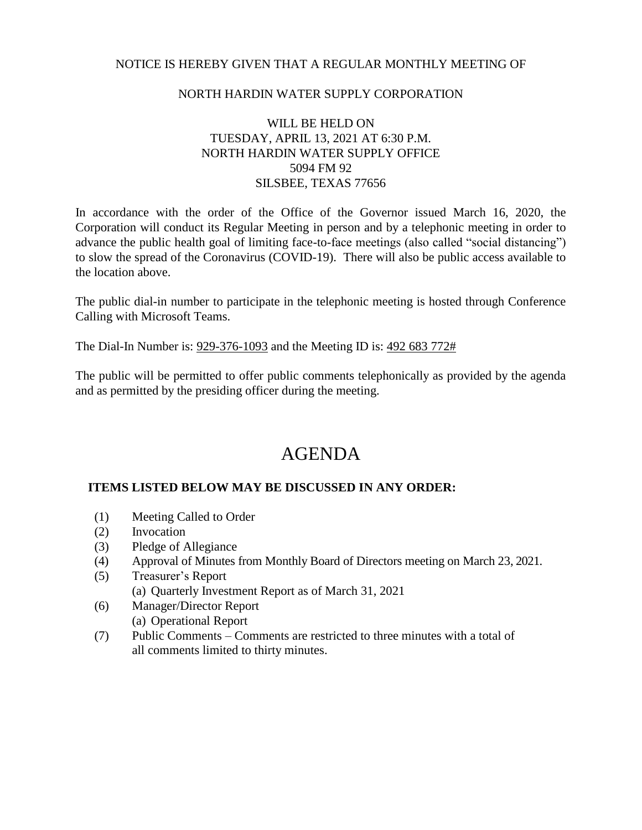## NOTICE IS HEREBY GIVEN THAT A REGULAR MONTHLY MEETING OF

## NORTH HARDIN WATER SUPPLY CORPORATION

# WILL BE HELD ON TUESDAY, APRIL 13, 2021 AT 6:30 P.M. NORTH HARDIN WATER SUPPLY OFFICE 5094 FM 92 SILSBEE, TEXAS 77656

In accordance with the order of the Office of the Governor issued March 16, 2020, the Corporation will conduct its Regular Meeting in person and by a telephonic meeting in order to advance the public health goal of limiting face-to-face meetings (also called "social distancing") to slow the spread of the Coronavirus (COVID-19). There will also be public access available to the location above.

The public dial-in number to participate in the telephonic meeting is hosted through Conference Calling with Microsoft Teams.

The Dial-In Number is: 929-376-1093 and the Meeting ID is: 492 683 772#

The public will be permitted to offer public comments telephonically as provided by the agenda and as permitted by the presiding officer during the meeting.

# AGENDA

### **ITEMS LISTED BELOW MAY BE DISCUSSED IN ANY ORDER:**

- (1) Meeting Called to Order
- (2) Invocation
- (3) Pledge of Allegiance
- (4) Approval of Minutes from Monthly Board of Directors meeting on March 23, 2021.
- (5) Treasurer's Report
	- (a) Quarterly Investment Report as of March 31, 2021
- (6) Manager/Director Report (a) Operational Report
- (7) Public Comments Comments are restricted to three minutes with a total of all comments limited to thirty minutes.